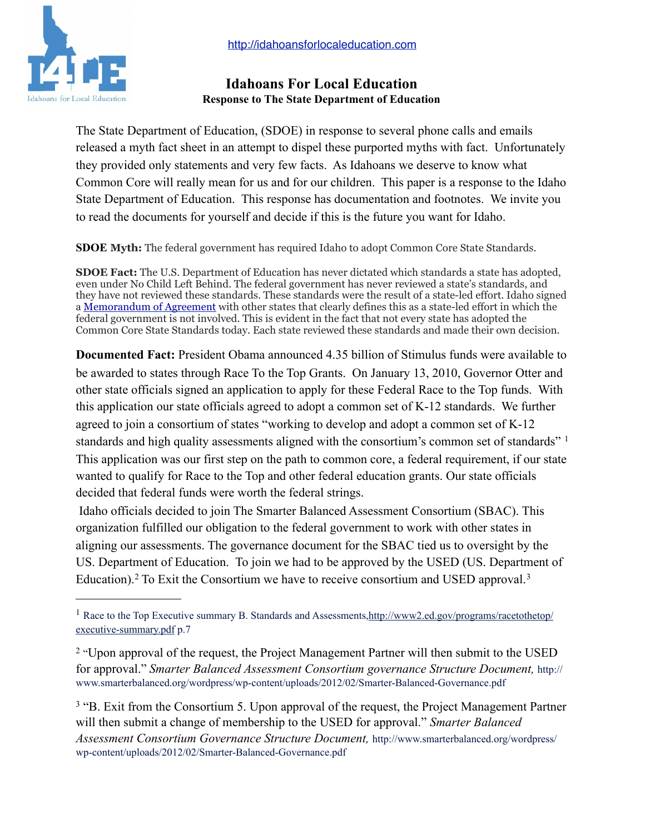

## **Idahoans For Local Education Response to The State Department of Education**

The State Department of Education, (SDOE) in response to several phone calls and emails released a myth fact sheet in an attempt to dispel these purported myths with fact. Unfortunately they provided only statements and very few facts. As Idahoans we deserve to know what Common Core will really mean for us and for our children. This paper is a response to the Idaho State Department of Education. This response has documentation and footnotes. We invite you to read the documents for yourself and decide if this is the future you want for Idaho.

**SDOE Myth:** The federal government has required Idaho to adopt Common Core State Standards.

**SDOE Fact:** The U.S. Department of Education has never dictated which standards a state has adopted, even under No Child Left Behind. The federal government has never reviewed a state's standards, and they have not reviewed these standards. These standards were the result of a state-led effort. Idaho signed a [Memorandum of Agreement](http://www.sde.idaho.gov/site/common/docs/Common%20Core%20Standards%20Signed%20MOA-May%2009.pdf) with other states that clearly defines this as a state-led effort in which the federal government is not involved. This is evident in the fact that not every state has adopted the Common Core State Standards today. Each state reviewed these standards and made their own decision.

**Documented Fact:** President Obama announced 4.35 billion of Stimulus funds were available to be awarded to states through Race To the Top Grants. On January 13, 2010, Governor Otter and other state officials signed an application to apply for these Federal Race to the Top funds. With this application our state officials agreed to adopt a common set of K-12 standards. We further agreed to join a consortium of states "working to develop and adopt a common set of K-12 standards and high quality assessments aligned with the consortium's common set of standards" [1](#page-0-0) This application was our first step on the path to common core, a federal requirement, if our state wanted to qualify for Race to the Top and other federal education grants. Our state officials decided that federal funds were worth the federal strings.

 Idaho officials decided to join The Smarter Balanced Assessment Consortium (SBAC). This organization fulfilled our obligation to the federal government to work with other states in aligning our assessments. The governance document for the SBAC tied us to oversight by the US. Department of Education. To join we had to be approved by the USED (US. Department of Education).<sup>[2](#page-0-1)</sup> To Exit the Consortium we have to receive consortium and USED approval.<sup>[3](#page-0-2)</sup>

<span id="page-0-0"></span><sup>&</sup>lt;sup>1</sup> Race to the Top Executive summary B. Standards and Assessments, http://www2.ed.gov/programs/racetothetop/ [executive-summary.pdf](http://www2.ed.gov/programs/racetothetop/executive-summary.pdf) p.7

<span id="page-0-1"></span><sup>&</sup>lt;sup>2</sup> "Upon approval of the request, the Project Management Partner will then submit to the USED for approval." *Smarter Balanced Assessment Consortium governance Structure Document,* http:// www.smarterbalanced.org/wordpress/wp-content/uploads/2012/02/Smarter-Balanced-Governance.pdf

<span id="page-0-2"></span><sup>&</sup>lt;sup>3</sup> "B. Exit from the Consortium 5. Upon approval of the request, the Project Management Partner will then submit a change of membership to the USED for approval." *Smarter Balanced Assessment Consortium Governance Structure Document,* http://www.smarterbalanced.org/wordpress/ wp-content/uploads/2012/02/Smarter-Balanced-Governance.pdf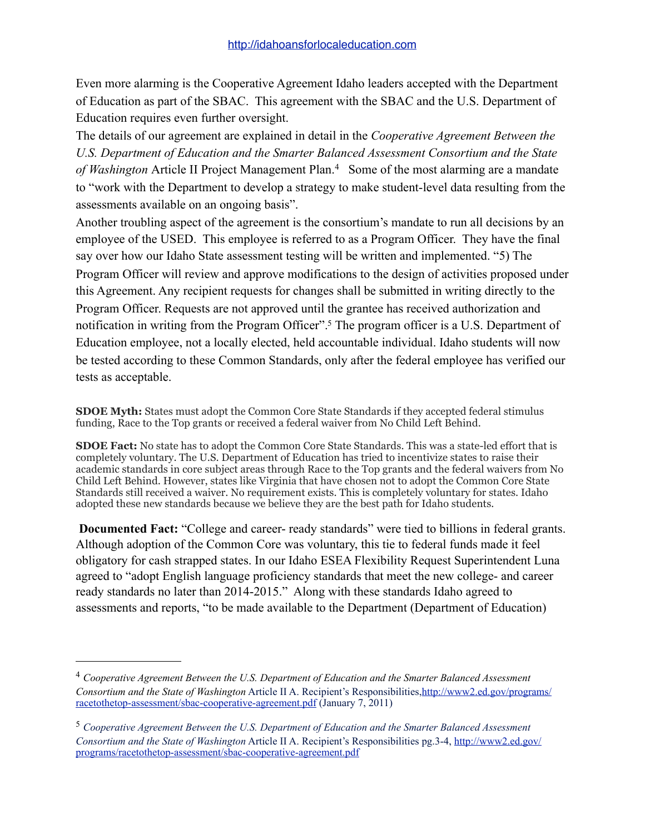Even more alarming is the Cooperative Agreement Idaho leaders accepted with the Department of Education as part of the SBAC. This agreement with the SBAC and the U.S. Department of Education requires even further oversight.

The details of our agreement are explained in detail in the *Cooperative Agreement Between the U.S. Department of Education and the Smarter Balanced Assessment Consortium and the State of Washington* Article II Project Management Plan.[4](#page-1-0) Some of the most alarming are a mandate to "work with the Department to develop a strategy to make student-level data resulting from the assessments available on an ongoing basis".

Another troubling aspect of the agreement is the consortium's mandate to run all decisions by an employee of the USED. This employee is referred to as a Program Officer. They have the final say over how our Idaho State assessment testing will be written and implemented. "5) The Program Officer will review and approve modifications to the design of activities proposed under this Agreement. Any recipient requests for changes shall be submitted in writing directly to the Program Officer. Requests are not approved until the grantee has received authorization and notification in writing from the Program Officer".<sup>5</sup> The program officer is a U.S. Department of Education employee, not a locally elected, held accountable individual. Idaho students will now be tested according to these Common Standards, only after the federal employee has verified our tests as acceptable.

**SDOE Myth:** States must adopt the Common Core State Standards if they accepted federal stimulus funding, Race to the Top grants or received a federal waiver from No Child Left Behind.

**SDOE Fact:** No state has to adopt the Common Core State Standards. This was a state-led effort that is completely voluntary. The U.S. Department of Education has tried to incentivize states to raise their academic standards in core subject areas through Race to the Top grants and the federal waivers from No Child Left Behind. However, states like Virginia that have chosen not to adopt the Common Core State Standards still received a waiver. No requirement exists. This is completely voluntary for states. Idaho adopted these new standards because we believe they are the best path for Idaho students.

**Documented Fact:** "College and career- ready standards" were tied to billions in federal grants. Although adoption of the Common Core was voluntary, this tie to federal funds made it feel obligatory for cash strapped states. In our Idaho ESEA Flexibility Request Superintendent Luna agreed to "adopt English language proficiency standards that meet the new college- and career ready standards no later than 2014-2015." Along with these standards Idaho agreed to assessments and reports, "to be made available to the Department (Department of Education)

<span id="page-1-0"></span><sup>4</sup> *Cooperative Agreement Between the U.S. Department of Education and the Smarter Balanced Assessment Consortium and the State of Washington* Article II A. Recipient's Responsibilities,[http://www2.ed.gov/programs/](http://www2.ed.gov/programs/racetothetop-assessment/sbac-cooperative-agreement.pdf) [racetothetop-assessment/sbac-cooperative-agreement.pdf](http://www2.ed.gov/programs/racetothetop-assessment/sbac-cooperative-agreement.pdf) (January 7, 2011)

<span id="page-1-1"></span><sup>5</sup> *Cooperative Agreement Between the U.S. Department of Education and the Smarter Balanced Assessment Consortium and the State of Washington* Article II A. Recipient's Responsibilities pg.3-4, [http://www2.ed.gov/](http://www2.ed.gov/programs/racetothetop-assessment/sbac-cooperative-agreement.pdf) [programs/racetothetop-assessment/sbac-cooperative-agreement.pdf](http://www2.ed.gov/programs/racetothetop-assessment/sbac-cooperative-agreement.pdf)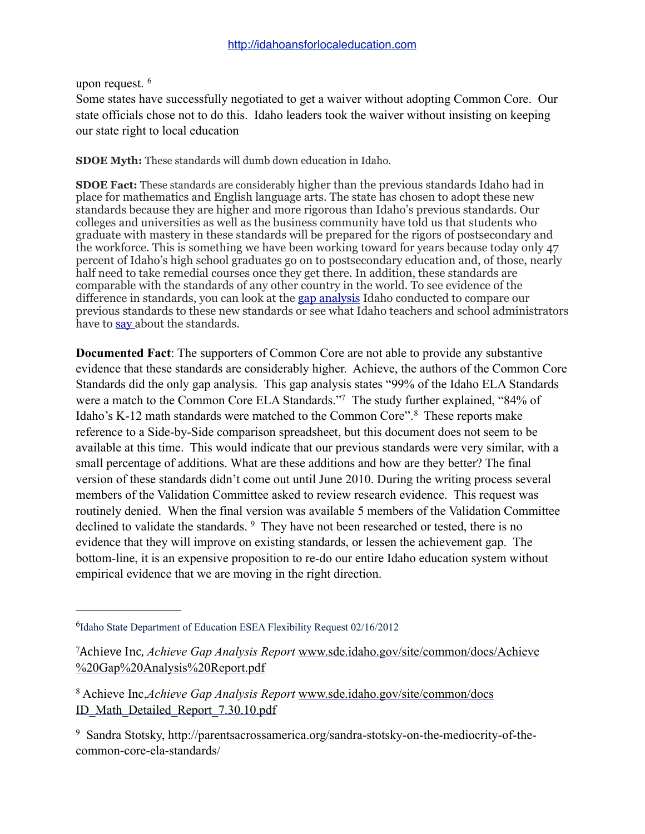upon request. [6](#page-2-0)

Some states have successfully negotiated to get a waiver without adopting Common Core. Our state officials chose not to do this. Idaho leaders took the waiver without insisting on keeping our state right to local education

**SDOE Myth:** These standards will dumb down education in Idaho.

**SDOE Fact:** These standards are considerably higher than the previous standards Idaho had in place for mathematics and English language arts. The state has chosen to adopt these new standards because they are higher and more rigorous than Idaho's previous standards. Our colleges and universities as well as the business community have told us that students who graduate with mastery in these standards will be prepared for the rigors of postsecondary and the workforce. This is something we have been working toward for years because today only 47 percent of Idaho's high school graduates go on to postsecondary education and, of those, nearly half need to take remedial courses once they get there. In addition, these standards are comparable with the standards of any other country in the world. To see evidence of the difference in standards, you can look at the [gap analysis](http://www.sde.idaho.gov/site/common/) Idaho conducted to compare our previous standards to these new standards or see what Idaho teachers and school administrators have to [say](http://www.sde.idaho.gov/site/common/tips_advice.htm) about the standards.

**Documented Fact**: The supporters of Common Core are not able to provide any substantive evidence that these standards are considerably higher. Achieve, the authors of the Common Core Standards did the only gap analysis. This gap analysis states "99% of the Idaho ELA Standards were a match to the Common Core ELA Standards.["7](#page-2-1) The study further explained, "84% of Idaho's K-12 math standards were matched to the Common Core".[8](#page-2-2) These reports make reference to a Side-by-Side comparison spreadsheet, but this document does not seem to be available at this time. This would indicate that our previous standards were very similar, with a small percentage of additions. What are these additions and how are they better? The final version of these standards didn't come out until June 2010. During the writing process several members of the Validation Committee asked to review research evidence. This request was routinely denied. When the final version was available 5 members of the Validation Committee declined to validate the standards. <sup>9</sup> They have not been researched or tested, there is no evidence that they will improve on existing standards, or lessen the achievement gap. The bottom-line, it is an expensive proposition to re-do our entire Idaho education system without empirical evidence that we are moving in the right direction.

<span id="page-2-0"></span><sup>&</sup>lt;sup>6</sup>Idaho State Department of Education ESEA Flexibility Request 02/16/2012

<span id="page-2-1"></span><sup>&</sup>lt;sup>7</sup>Achieve Inc, *Achieve Gap Analysis Report* [www.sde.idaho.gov/site/common/docs/Achieve](http://www.sde.idaho.gov/site/common/docs/Achieve%20Gap%20Analysis%20Report.pdf) [%20Gap%20Analysis%20Report.pdf](http://www.sde.idaho.gov/site/common/docs/Achieve%20Gap%20Analysis%20Report.pdf)

<span id="page-2-2"></span><sup>8</sup> Achieve Inc,*Achieve Gap Analysis Report* [www.sde.idaho.gov/site/common/docs](http://www.sde.idaho.gov/site/common/docs/ID_Math_Detailed_Report_7.30.10.pdf)  [ID\\_Math\\_Detailed\\_Report\\_7.30.10.pdf](http://www.sde.idaho.gov/site/common/docs/ID_Math_Detailed_Report_7.30.10.pdf)

<span id="page-2-3"></span><sup>9</sup> Sandra Stotsky, http://parentsacrossamerica.org/sandra-stotsky-on-the-mediocrity-of-thecommon-core-ela-standards/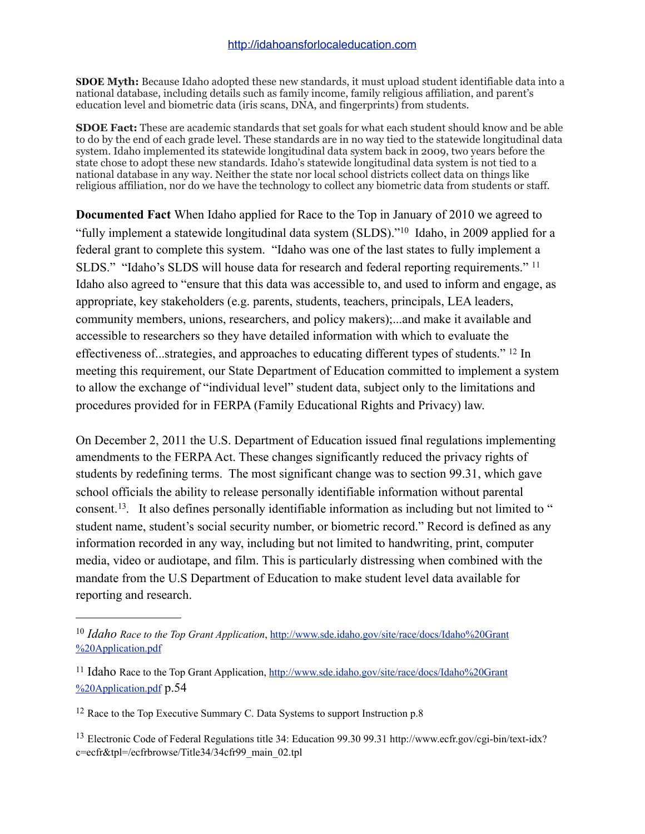**SDOE Myth:** Because Idaho adopted these new standards, it must upload student identifiable data into a national database, including details such as family income, family religious affiliation, and parent's education level and biometric data (iris scans, DNA, and fingerprints) from students.

**SDOE Fact:** These are academic standards that set goals for what each student should know and be able to do by the end of each grade level. These standards are in no way tied to the statewide longitudinal data system. Idaho implemented its statewide longitudinal data system back in 2009, two years before the state chose to adopt these new standards. Idaho's statewide longitudinal data system is not tied to a national database in any way. Neither the state nor local school districts collect data on things like religious affiliation, nor do we have the technology to collect any biometric data from students or staff.

**Documented Fact** When Idaho applied for Race to the Top in January of 2010 we agreed to "fully implement a statewide longitudinal data system (SLDS)."[10](#page-3-0) Idaho, in 2009 applied for a federal grant to complete this system. "Idaho was one of the last states to fully implement a SLDS." "Idaho's SLDS will house data for research and federal reporting requirements." <sup>[11](#page-3-1)</sup> Idaho also agreed to "ensure that this data was accessible to, and used to inform and engage, as appropriate, key stakeholders (e.g. parents, students, teachers, principals, LEA leaders, community members, unions, researchers, and policy makers);...and make it available and accessible to researchers so they have detailed information with which to evaluate the effectiveness of...strategies, and approaches to educating different types of students." [12](#page-3-2) In meeting this requirement, our State Department of Education committed to implement a system to allow the exchange of "individual level" student data, subject only to the limitations and procedures provided for in FERPA (Family Educational Rights and Privacy) law.

On December 2, 2011 the U.S. Department of Education issued final regulations implementing amendments to the FERPA Act. These changes significantly reduced the privacy rights of students by redefining terms. The most significant change was to section 99.31, which gave school officials the ability to release personally identifiable information without parental consent.<sup>13</sup>. It also defines personally identifiable information as including but not limited to " student name, student's social security number, or biometric record." Record is defined as any information recorded in any way, including but not limited to handwriting, print, computer media, video or audiotape, and film. This is particularly distressing when combined with the mandate from the U.S Department of Education to make student level data available for reporting and research.

<span id="page-3-0"></span><sup>10</sup> *Idaho Race to the Top Grant Application*, [http://www.sde.idaho.gov/site/race/docs/Idaho%20Grant](http://www.sde.idaho.gov/site/race/docs/Idaho%20Grant%20Application.pdf) [%20Application.pdf](http://www.sde.idaho.gov/site/race/docs/Idaho%20Grant%20Application.pdf)

<span id="page-3-1"></span><sup>11</sup> Idaho Race to the Top Grant Application, [http://www.sde.idaho.gov/site/race/docs/Idaho%20Grant](http://www.sde.idaho.gov/site/race/docs/Idaho%20Grant%20Application.pdf) [%20Application.pdf](http://www.sde.idaho.gov/site/race/docs/Idaho%20Grant%20Application.pdf) p.54

<span id="page-3-2"></span><sup>&</sup>lt;sup>12</sup> Race to the Top Executive Summary C. Data Systems to support Instruction p.8

<span id="page-3-3"></span><sup>13</sup> Electronic Code of Federal Regulations title 34: Education 99.30 99.31 http://www.ecfr.gov/cgi-bin/text-idx? c=ecfr&tpl=/ecfrbrowse/Title34/34cfr99\_main\_02.tpl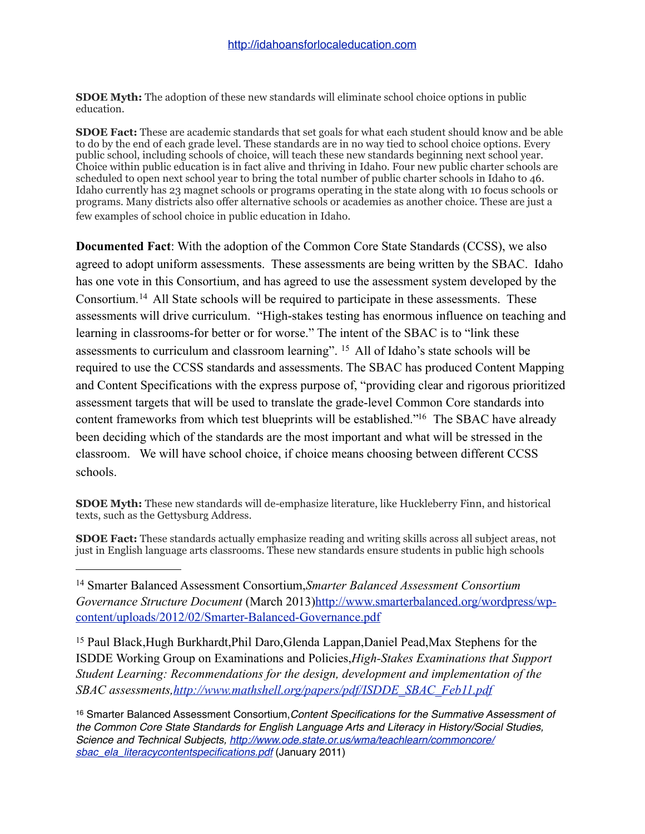**SDOE Myth:** The adoption of these new standards will eliminate school choice options in public education.

**SDOE Fact:** These are academic standards that set goals for what each student should know and be able to do by the end of each grade level. These standards are in no way tied to school choice options. Every public school, including schools of choice, will teach these new standards beginning next school year. Choice within public education is in fact alive and thriving in Idaho. Four new public charter schools are scheduled to open next school year to bring the total number of public charter schools in Idaho to 46. Idaho currently has 23 magnet schools or programs operating in the state along with 10 focus schools or programs. Many districts also offer alternative schools or academies as another choice. These are just a few examples of school choice in public education in Idaho.

**Documented Fact**: With the adoption of the Common Core State Standards (CCSS), we also agreed to adopt uniform assessments. These assessments are being written by the SBAC. Idaho has one vote in this Consortium, and has agreed to use the assessment system developed by the Consortium.[14](#page-4-0) All State schools will be required to participate in these assessments. These assessments will drive curriculum. "High-stakes testing has enormous influence on teaching and learning in classrooms-for better or for worse." The intent of the SBAC is to "link these assessments to curriculum and classroom learning". [15](#page-4-1) All of Idaho's state schools will be required to use the CCSS standards and assessments. The SBAC has produced Content Mapping and Content Specifications with the express purpose of, "providing clear and rigorous prioritized assessment targets that will be used to translate the grade-level Common Core standards into content frameworks from which test blueprints will be established.["16](#page-4-2) The SBAC have already been deciding which of the standards are the most important and what will be stressed in the classroom. We will have school choice, if choice means choosing between different CCSS schools.

**SDOE Myth:** These new standards will de-emphasize literature, like Huckleberry Finn, and historical texts, such as the Gettysburg Address.

**SDOE Fact:** These standards actually emphasize reading and writing skills across all subject areas, not just in English language arts classrooms. These new standards ensure students in public high schools

<span id="page-4-0"></span>14 Smarter Balanced Assessment Consortium,*Smarter Balanced Assessment Consortium Governance Structure Document* (March 2013[\)http://www.smarterbalanced.org/wordpress/wp](http://www.smarterbalanced.org/wordpress/wp-content/uploads/2012/02/Smarter-Balanced-Governance.pdf)[content/uploads/2012/02/Smarter-Balanced-Governance.pdf](http://www.smarterbalanced.org/wordpress/wp-content/uploads/2012/02/Smarter-Balanced-Governance.pdf)

<span id="page-4-1"></span>15 Paul Black,Hugh Burkhardt,Phil Daro,Glenda Lappan,Daniel Pead,Max Stephens for the ISDDE Working Group on Examinations and Policies,*High-Stakes Examinations that Support Student Learning: Recommendations for the design, development and implementation of the SBAC assessments,[http://www.mathshell.org/papers/pdf/ISDDE\\_SBAC\\_Feb11.pdf](http://www.mathshell.org/papers/pdf/ISDDE_SBAC_Feb11.pdf)*

<span id="page-4-2"></span><sup>16</sup> Smarter Balanced Assessment Consortium,*Content Specifications for the Summative Assessment of the Common Core State Standards for English Language Arts and Literacy in History/Social Studies, Science and Technical Subjects, [http://www.ode.state.or.us/wma/teachlearn/commoncore/](http://www.ode.state.or.us/wma/teachlearn/commoncore/sbac_ela_literacycontentspecifications.pdf) [sbac\\_ela\\_literacycontentspecifications.pdf](http://www.ode.state.or.us/wma/teachlearn/commoncore/sbac_ela_literacycontentspecifications.pdf)* (January 2011)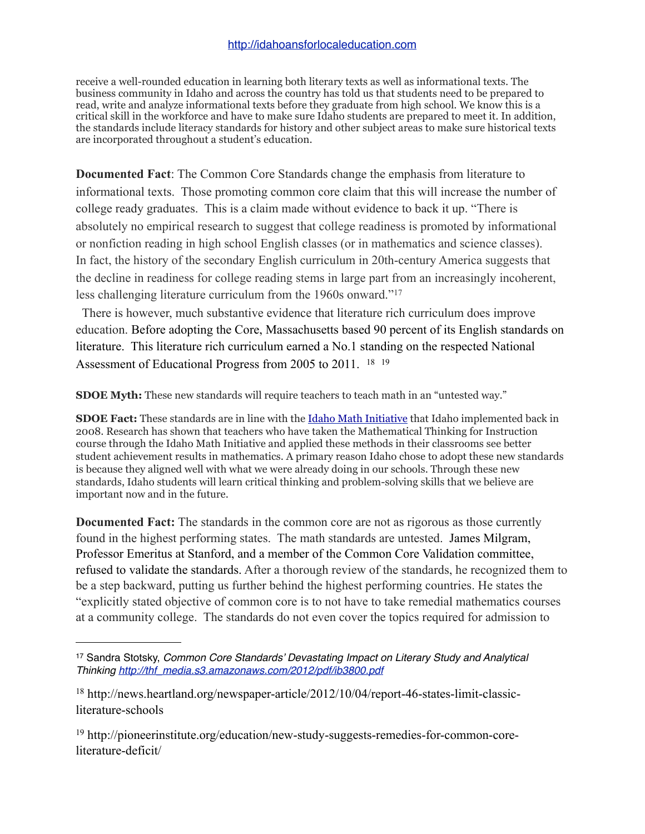receive a well-rounded education in learning both literary texts as well as informational texts. The business community in Idaho and across the country has told us that students need to be prepared to read, write and analyze informational texts before they graduate from high school. We know this is a critical skill in the workforce and have to make sure Idaho students are prepared to meet it. In addition, the standards include literacy standards for history and other subject areas to make sure historical texts are incorporated throughout a student's education.

**Documented Fact**: The Common Core Standards change the emphasis from literature to informational texts. Those promoting common core claim that this will increase the number of college ready graduates. This is a claim made without evidence to back it up. "There is absolutely no empirical research to suggest that college readiness is promoted by informational or nonfiction reading in high school English classes (or in mathematics and science classes). In fact, the history of the secondary English curriculum in 20th-century America suggests that the decline in readiness for college reading stems in large part from an increasingly incoherent, less challenging literature curriculum from the 1960s onward."[17](#page-5-0)

 There is however, much substantive evidence that literature rich curriculum does improve education. Before adopting the Core, Massachusetts based 90 percent of its English standards on literature. This literature rich curriculum earned a No.1 standing on the respected National Assessment of Educational Progress from 2005 to 2011. [18](#page-5-1) [19](#page-5-2)

**SDOE Myth:** These new standards will require teachers to teach math in an "untested way."

**SDOE Fact:** These standards are in line with the [Idaho Math Initiative](http://www.sde.idaho.gov/site/math/math_initiative.htm) that Idaho implemented back in 2008. Research has shown that teachers who have taken the Mathematical Thinking for Instruction course through the Idaho Math Initiative and applied these methods in their classrooms see better student achievement results in mathematics. A primary reason Idaho chose to adopt these new standards is because they aligned well with what we were already doing in our schools. Through these new standards, Idaho students will learn critical thinking and problem-solving skills that we believe are important now and in the future.

**Documented Fact:** The standards in the common core are not as rigorous as those currently found in the highest performing states. The math standards are untested. James Milgram, Professor Emeritus at Stanford, and a member of the Common Core Validation committee, refused to validate the standards. After a thorough review of the standards, he recognized them to be a step backward, putting us further behind the highest performing countries. He states the "explicitly stated objective of common core is to not have to take remedial mathematics courses at a community college. The standards do not even cover the topics required for admission to

<span id="page-5-0"></span><sup>17</sup> Sandra Stotsky, *Common Core Standards' Devastating Impact on Literary Study and Analytical Thinking [http://thf\\_media.s3.amazonaws.com/2012/pdf/ib3800.pdf](http://thf_media.s3.amazonaws.com/2012/pdf/ib3800.pdf)*

<span id="page-5-1"></span><sup>18</sup> http://news.heartland.org/newspaper-article/2012/10/04/report-46-states-limit-classicliterature-schools

<span id="page-5-2"></span><sup>19</sup> http://pioneerinstitute.org/education/new-study-suggests-remedies-for-common-coreliterature-deficit/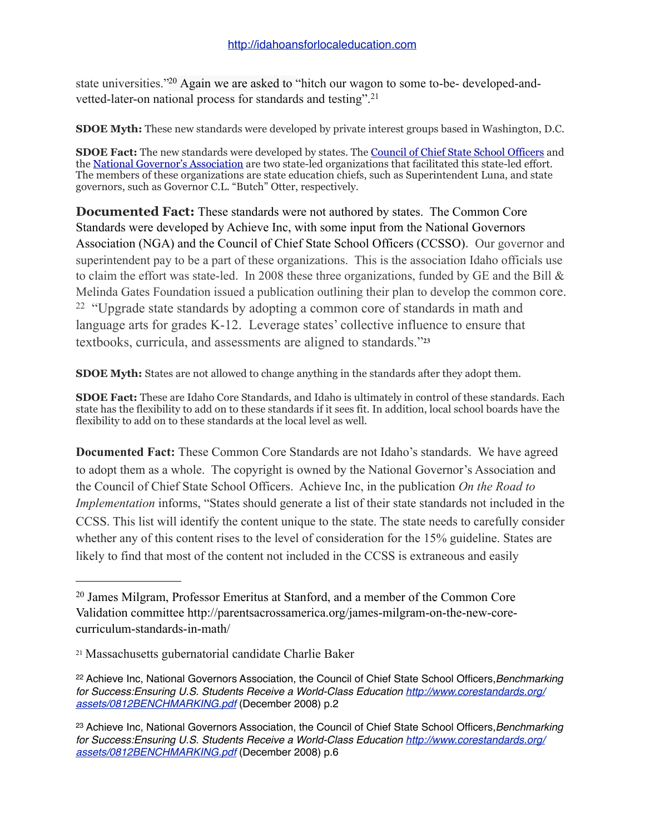state universities.["20](#page-6-0) Again we are asked to "hitch our wagon to some to-be- developed-andvetted-later-on national process for standards and testing".[21](#page-6-1)

**SDOE Myth:** These new standards were developed by private interest groups based in Washington, D.C.

**SDOE Fact:** The new standards were developed by states. The [Council of Chief State School Officers](http://www.ccsso.org/) and the [National Governor's Association](http://www.nga.org/cms/home.html) are two state-led organizations that facilitated this state-led effort. The members of these organizations are state education chiefs, such as Superintendent Luna, and state governors, such as Governor C.L. "Butch" Otter, respectively.

**Documented Fact:** These standards were not authored by states. The Common Core Standards were developed by Achieve Inc, with some input from the National Governors Association (NGA) and the Council of Chief State School Officers (CCSSO). Our governor and superintendent pay to be a part of these organizations. This is the association Idaho officials use to claim the effort was state-led. In 2008 these three organizations, funded by GE and the Bill  $\&$ Melinda Gates Foundation issued a publication outlining their plan to develop the common core. <sup>22</sup> "Upgrade state standards by adopting a common core of standards in math and language arts for grades K-12. Leverage states' collective influence to ensure that textbooks, curricula, and assessments are aligned to standards."**[23](#page-6-3)**

**SDOE Myth:** States are not allowed to change anything in the standards after they adopt them.

**SDOE Fact:** These are Idaho Core Standards, and Idaho is ultimately in control of these standards. Each state has the flexibility to add on to these standards if it sees fit. In addition, local school boards have the flexibility to add on to these standards at the local level as well.

**Documented Fact:** These Common Core Standards are not Idaho's standards. We have agreed to adopt them as a whole. The copyright is owned by the National Governor's Association and the Council of Chief State School Officers. Achieve Inc, in the publication *On the Road to Implementation* informs, "States should generate a list of their state standards not included in the CCSS. This list will identify the content unique to the state. The state needs to carefully consider whether any of this content rises to the level of consideration for the 15% guideline. States are likely to find that most of the content not included in the CCSS is extraneous and easily

<span id="page-6-0"></span><sup>20</sup> James Milgram, Professor Emeritus at Stanford, and a member of the Common Core Validation committee http://parentsacrossamerica.org/james-milgram-on-the-new-corecurriculum-standards-in-math/

<span id="page-6-1"></span><sup>21</sup> Massachusetts gubernatorial candidate Charlie Baker

<span id="page-6-2"></span><sup>22</sup> Achieve Inc, National Governors Association, the Council of Chief State School Officers,*Benchmarking for Success:Ensuring U.S. Students Receive a World-Class Education [http://www.corestandards.org/](http://www.corestandards.org/assets/0812BENCHMARKING.pdf) [assets/0812BENCHMARKING.pdf](http://www.corestandards.org/assets/0812BENCHMARKING.pdf)* (December 2008) p.2

<span id="page-6-3"></span><sup>23</sup> Achieve Inc, National Governors Association, the Council of Chief State School Officers,*Benchmarking for Success:Ensuring U.S. Students Receive a World-Class Education [http://www.corestandards.org/](http://www.corestandards.org/assets/0812BENCHMARKING.pdf) [assets/0812BENCHMARKING.pdf](http://www.corestandards.org/assets/0812BENCHMARKING.pdf)* (December 2008) p.6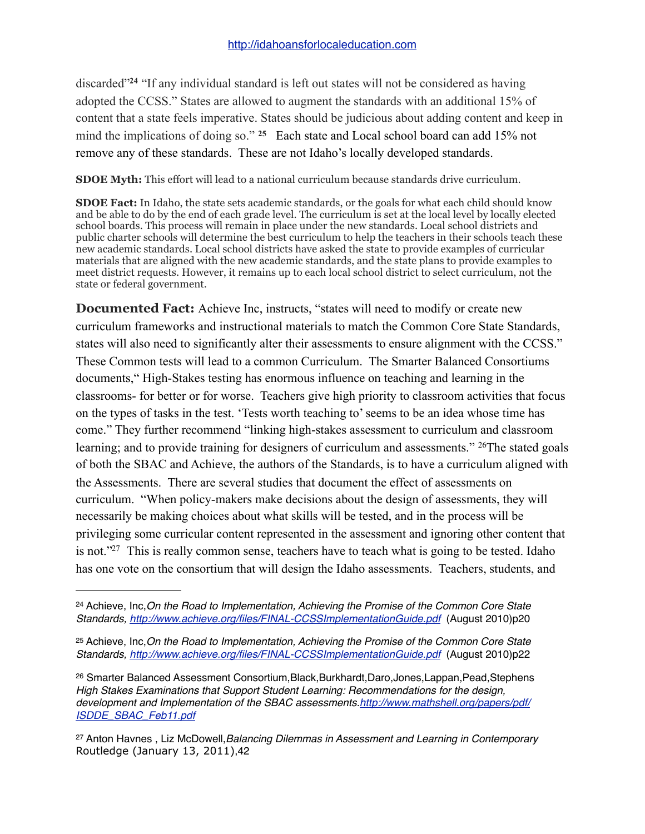discarded"**[24](#page-7-0)** "If any individual standard is left out states will not be considered as having adopted the CCSS." States are allowed to augment the standards with an additional 15% of content that a state feels imperative. States should be judicious about adding content and keep in mind the implications of doing so." **[25](#page-7-1)** Each state and Local school board can add 15% not remove any of these standards. These are not Idaho's locally developed standards.

**SDOE Myth:** This effort will lead to a national curriculum because standards drive curriculum.

**SDOE Fact:** In Idaho, the state sets academic standards, or the goals for what each child should know and be able to do by the end of each grade level. The curriculum is set at the local level by locally elected school boards. This process will remain in place under the new standards. Local school districts and public charter schools will determine the best curriculum to help the teachers in their schools teach these new academic standards. Local school districts have asked the state to provide examples of curricular materials that are aligned with the new academic standards, and the state plans to provide examples to meet district requests. However, it remains up to each local school district to select curriculum, not the state or federal government.

**Documented Fact:** Achieve Inc, instructs, "states will need to modify or create new curriculum frameworks and instructional materials to match the Common Core State Standards, states will also need to significantly alter their assessments to ensure alignment with the CCSS." These Common tests will lead to a common Curriculum. The Smarter Balanced Consortiums documents," High-Stakes testing has enormous influence on teaching and learning in the classrooms- for better or for worse. Teachers give high priority to classroom activities that focus on the types of tasks in the test. 'Tests worth teaching to' seems to be an idea whose time has come." They further recommend "linking high-stakes assessment to curriculum and classroom learning; and to provide training for designers of curriculum and assessments." <sup>26</sup>The stated goals of both the SBAC and Achieve, the authors of the Standards, is to have a curriculum aligned with the Assessments. There are several studies that document the effect of assessments on curriculum. "When policy-makers make decisions about the design of assessments, they will necessarily be making choices about what skills will be tested, and in the process will be privileging some curricular content represented in the assessment and ignoring other content that is not.["27](#page-7-3) This is really common sense, teachers have to teach what is going to be tested. Idaho has one vote on the consortium that will design the Idaho assessments. Teachers, students, and

<span id="page-7-0"></span><sup>24</sup> Achieve, Inc,*On the Road to Implementation, Achieving the Promise of the Common Core State Standards,<http://www.achieve.org/files/FINAL-CCSSImplementationGuide.pdf>* (August 2010)p20

<span id="page-7-1"></span><sup>25</sup> Achieve, Inc,*On the Road to Implementation, Achieving the Promise of the Common Core State Standards,<http://www.achieve.org/files/FINAL-CCSSImplementationGuide.pdf>* (August 2010)p22

<span id="page-7-2"></span><sup>26</sup> Smarter Balanced Assessment Consortium,Black,Burkhardt,Daro,Jones,Lappan,Pead,Stephens *High Stakes Examinations that Support Student Learning: Recommendations for the design, development and Implementation of the SBAC assessments.[http://www.mathshell.org/papers/pdf/](http://www.mathshell.org/papers/pdf/ISDDE_SBAC_Feb11.pdf) [ISDDE\\_SBAC\\_Feb11.pdf](http://www.mathshell.org/papers/pdf/ISDDE_SBAC_Feb11.pdf)*

<span id="page-7-3"></span><sup>27</sup> Anton Havnes , Liz McDowell,*Balancing Dilemmas in Assessment and Learning in Contemporary*  Routledge (January 13, 2011),42